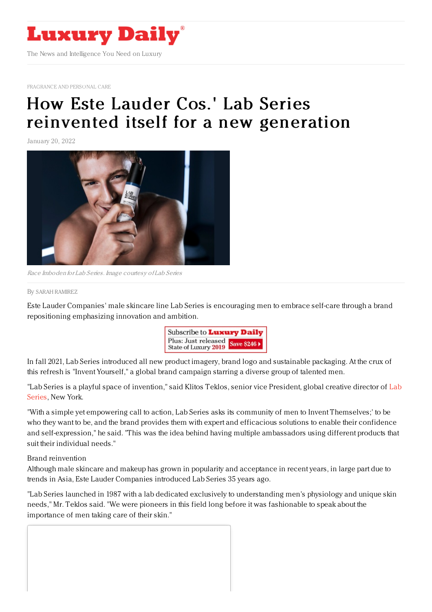

[FRAGRANCE](https://www.luxurydaily.com/category/sectors/fragrance-and-personal-care/) AND PERSONAL CARE

# How Este Lauder Cos.' Lab Series [reinvented](https://www.luxurydaily.com/how-estee-lauders-lab-series-reinvented-itself-for-a-new-generation/) itself for a new generation

January 20, 2022



Race Imboden for Lab Series. Image courtesy of Lab Series

#### By SARAH [RAMIREZ](file:///author/sarah-ramirez)

Este Lauder Companies' male skincare line Lab Series is encouraging men to embrace self-care through a brand repositioning emphasizing innovation and ambition.



In fall 2021, Lab Series introduced all new product imagery, brand logo and sustainable packaging. At the crux of this refresh is "Invent Yourself," a global brand campaign starring a diverse group of talented men.

"Lab Series is a playful space of [invention,"](https://www.labseries.com/) said Klitos Teklos, senior vice President, global creative director of Lab Series, New York.

"With a simple yet empowering call to action, Lab Series asks its community of men to Invent Themselves;' to be who they want to be, and the brand provides them with expert and efficacious solutions to enable their confidence and self-expression," he said. "This was the idea behind having multiple ambassadors using different products that suit their individual needs."

#### Brand reinvention

Although male skincare and makeup has grown in popularity and acceptance in recent years, in large part due to trends in Asia, Este Lauder Companies introduced Lab Series 35 years ago.

"Lab Series launched in 1987 with a lab dedicated exclusively to understanding men's physiology and unique skin needs," Mr. Teklos said. "We were pioneers in this field long before it was fashionable to speak about the importance of men taking care of their skin."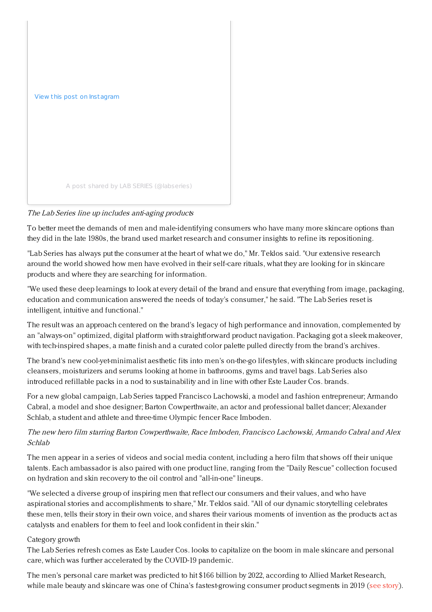

# The Lab Series line up includes anti-aging products

To better meet the demands of men and male-identifying consumers who have many more skincare options than they did in the late 1980s, the brand used market research and consumer insights to refine its repositioning.

"Lab Series has always put the consumer at the heart of what we do," Mr. Teklos said. "Our extensive research around the world showed how men have evolved in their self-care rituals, what they are looking for in skincare products and where they are searching for information.

"We used these deep learnings to look at every detail of the brand and ensure that everything from image, packaging, education and communication answered the needs of today's consumer," he said. "The Lab Series reset is intelligent, intuitive and functional."

The result was an approach centered on the brand's legacy of high performance and innovation, complemented by an "always-on" optimized, digital platform with straightforward product navigation. Packaging got a sleek makeover, with tech-inspired shapes, a matte finish and a curated color palette pulled directly from the brand's archives.

The brand's new cool-yet-minimalist aesthetic fits into men's on-the-go lifestyles, with skincare products including cleansers, moisturizers and serums looking at home in bathrooms, gyms and travel bags. Lab Series also introduced refillable packs in a nod to sustainability and in line with other Este Lauder Cos. brands.

For a new global campaign, Lab Series tapped Francisco Lachowski, a model and fashion entrepreneur; Armando Cabral, a model and shoe designer; Barton Cowperthwaite, an actor and professional ballet dancer; Alexander Schlab, a student and athlete and three-time Olympic fencer Race Imboden.

# The new hero film starring Barton Cowperthwaite, Race Imboden, Francisco Lachowski, Armando Cabral and Alex Schlab

The men appear in a series of videos and social media content, including a hero film that shows off their unique talents. Each ambassador is also paired with one product line, ranging from the "Daily Rescue" collection focused on hydration and skin recovery to the oil control and "all-in-one" lineups.

"We selected a diverse group of inspiring men that reflect our consumers and their values, and who have aspirational stories and accomplishments to share," Mr. Teklos said. "All of our dynamic storytelling celebrates these men, tells their story in their own voice, and shares their various moments of invention as the products act as catalysts and enablers for them to feel and look confident in their skin."

### Category growth

The Lab Series refresh comes as Este Lauder Cos. looks to capitalize on the boom in male skincare and personal care, which was further accelerated by the COVID-19 pandemic.

The men's personal care market was predicted to hit \$166 billion by 2022, according to Allied Market Research, while male beauty and skincare was one of China's fastest-growing consumer product segments in 2019 (see [story](https://www.luxurydaily.com/how-brands-can-take-advantage-of-the-male-beauty-boom-in-china/)).